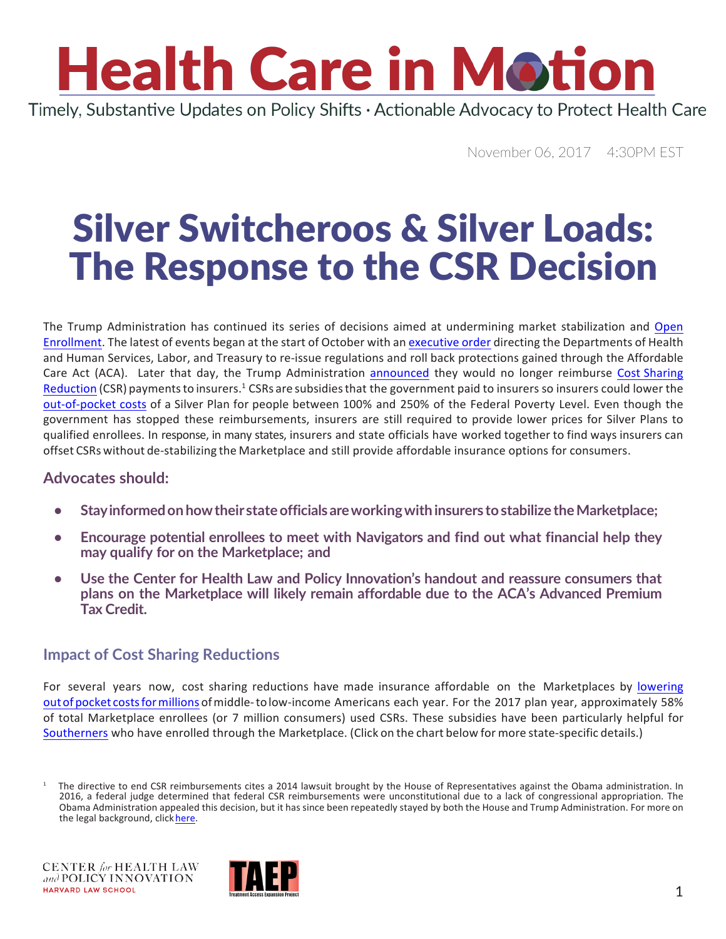### **Health Care in Motion** Timely, Substantive Updates on Policy Shifts · Actionable Advocacy to Protect Health Care

November 06, 2017 4:30PM EST

### Silver Switcheroos & Silver Loads: The Response to the CSR Decision

The Trump Administration has continued its series of decisions aimed at undermining market stabilization and [Open](https://www.chlpi.org/wp-content/uploads/2013/12/HCIM_10_27_2017.pdf) Enrollment. The latest of events began at the start of October with an executive order directing the Departments of Health and Human Services, Labor, and Treasury to re-issue regulations and roll back protections gained through the Affordable Care Act (ACA). Later that day, the Trump Administration [announced](https://www.hhs.gov/about/news/2017/10/12/trump-administration-takes-action-abide-law-constitution-discontinue-csr-payments.html) they would no longer reimburse Cost [Sharing](https://www.hhs.gov/about/news/2017/10/12/trump-administration-takes-action-abide-law-constitution-discontinue-csr-payments.html) Reduction (CSR) payments to insurers.<sup>1</sup> CSRs are subsidies that the government paid to insurers so insurers could lower the [out-of-pocket](https://www.hhs.gov/about/news/2017/10/12/trump-administration-takes-action-abide-law-constitution-discontinue-csr-payments.html) costs of a Silver Plan for people between 100% and 250% of the Federal Poverty Level. Even though the government has stopped these reimbursements, insurers are still required to provide lower prices for Silver Plans to qualified enrollees. In response, in many states, insurers and state officials have worked together to find ways insurers can offset CSRs without de-stabilizing the Marketplace and still provide affordable insurance options for consumers.

#### **Advocates should:**

- **• Stayinformedonhowtheir stateofficialsareworkingwithinsurers tostabilizetheMarketplace;**
- **• Encourage potential enrollees to meet with Navigators and find out what financial help they may qualify for on the Marketplace; and**
- **• Use the Center for Health Law and Policy Innovation's handout and reassure consumers that plans on the Marketplace will likely remain affordable due to the ACA's Advanced Premium Tax Credit.**

#### **Impact of Cost Sharing Reductions**

For several years now, cost sharing reductions have made insurance affordable on the Marketplaces by [lowering](http://www.commonwealthfund.org/publications/explainers/2017/apr/cost-sharing-reductions) out of pocket costs for millions of middle-to low-income Americans each year. For the 2017 plan year, approximately 58% of total Marketplace enrollees (or 7 million consumers) used CSRs. These subsidies have been particularly helpful for [Southerners](https://www.rwjf.org/en/library/research/2015/02/characteristics-of-those-eligible-for-cost-sharing-reductions-an.html) who have enrolled through the Marketplace. (Click on the chart below for more state-specific details.)



 $<sup>1</sup>$  The directive to end CSR reimbursements cites a 2014 lawsuit brought by the House of Representatives against the Obama administration. In</sup> 2016, a federal judge determined that federal CSR reimbursements were unconstitutional due to a lack of congressional appropriation. The Obama Administration appealed this decision, but it has since been repeatedly stayed by both the House and Trump Administration. For more on the legal background, click [here.](http://healthaffairs.org/blog/2016/05/12/judge-blocks-reimbursement-of-insurers-for-aca-cost-sharing-reduction-payments/)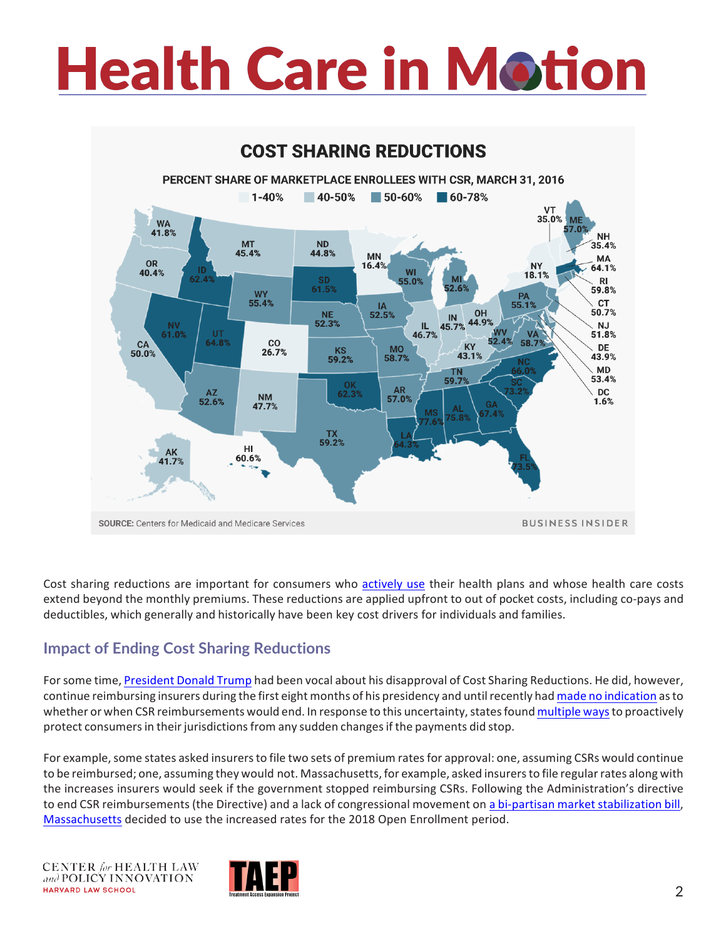# **Health Care in Motion**



Cost sharing reductions are important for consumers who actively use their health plans and whose health care costs extend beyond the monthly premiums. These reductions are applied upfront to out of pocket costs, including co-pays and deductibles, which generally and historically have been key cost drivers for individuals and families.

#### **Impact of Ending Cost Sharing Reductions**

For some time, [President](https://www.whitehouse.gov/contact) Donald Trump had been vocal about his disapproval of Cost Sharing Reductions. He did, however, continue reimbursing insurers during the first eight months of his presidency and untilrecently had made no [indication](http://www.npr.org/2017/08/01/540965270/understanding-csrs-in-the-health-care-debate) asto whether or when CSR reimbursements would end. In response to this uncertainty, states found [multiple](https://docs.google.com/spreadsheets/d/1W2EQhCXowRDDuqJhy6PUJtIGHjoND9f_K7oALyDAbLg/edit#gid%3D0) ways to proactively protect consumers in their jurisdictions from any sudden changes if the payments did stop.

For example, some states asked insurers to file two sets of premium rates for approval: one, assuming CSRs would continue to be reimbursed; one, assuming they would not. Massachusetts, for example, asked insurers to file regular rates along with the increases insurers would seek if the government stopped reimbursing CSRs. Following the Administration's directive to end CSR reimbursements(the Directive) and a lack of congressional movement on a bi-partisan market [stabilization](https://www.chlpi.org/wp-content/uploads/2013/12/HCIM_10_19_2017.pdf) bill, [Massachusetts](http://www.statehousenews.com/content/docs/2017/10_19ConnectorLetter.pdf) decided to use the increased rates for the 2018 Open Enrollment period.

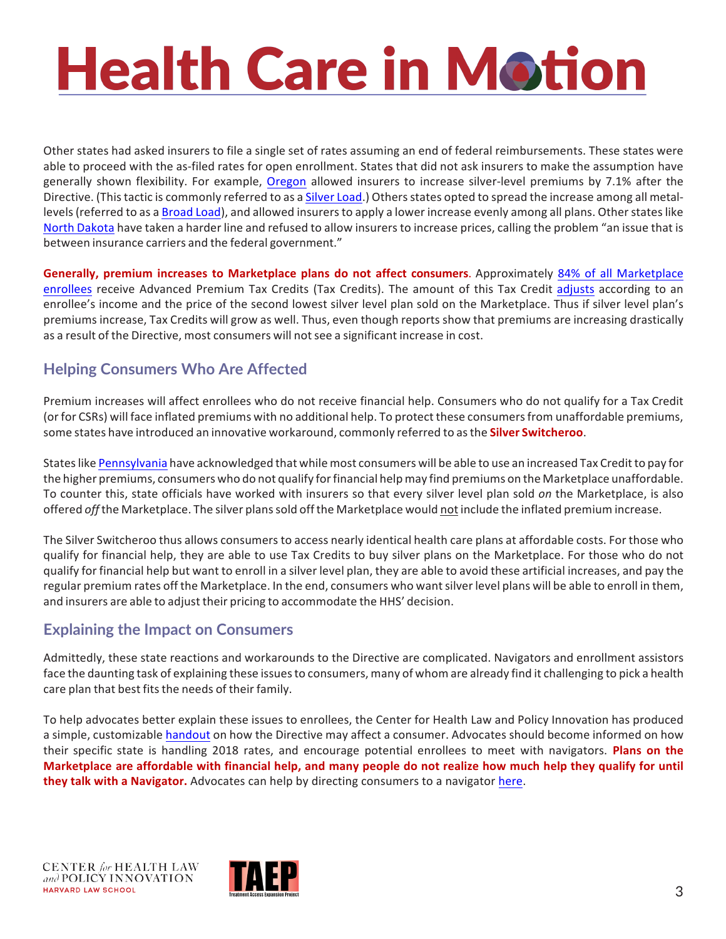## **Health Care in Motion**

Other states had asked insurers to file a single set of rates assuming an end of federal reimbursements. These states were able to proceed with the as-filed rates for open enrollment. States that did not ask insurers to make the assumption have generally shown flexibility. For example, [Oregon](http://dfr.oregon.gov/gethelp/Pages/csr-discontinuation-faqs.aspx) allowed insurers to increase silver-level premiums by 7.1% after the Directive. (This tactic is commonly referred to as a Silver [Load.\)](https://theincidentaleconomist.com/wordpress/cost-sharing-reduction-weeds-silver-loading-and-the-silver-switcheroo-explained/) Others states opted to spread the increase among all metal-levels (referred to as a [Broad](https://www.balloon-juice.com/2017/08/23/distributional-impacts-of-csr-loading-schemes/) Load), and allowed insurers to apply a lower increase evenly among all plans. Other states like North [Dakota](https://www.nd.gov/ndins/Communications/news/News361/) have taken a harder line and refused to allow insurers to increase prices, calling the problem "an issue that is between insurance carriers and the federal government."

Generally, premium increases to Marketplace plans do not affect consumers. Approximately 84% of all Marketplace [enrollees](https://www.kff.org/health-reform/state-indicator/total-marketplace-enrollment-and-financial-assistance/?currentTimeframe=0&sortModel=%7B%22colId%22%3A%22Location%22%2C%22sort%22%3A%22asc%22%7D) receive Advanced Premium Tax Credits (Tax Credits). The amount of this Tax Credit [adjusts](https://www.cbpp.org/sites/default/files/atoms/files/QA-on-Premium-Credits.pdf) according to an enrollee's income and the price of the second lowest silver level plan sold on the Marketplace. Thus if silver level plan's premiums increase, Tax Credits will grow as well. Thus, even though reports show that premiums are increasing drastically as a result of the Directive, most consumers will not see a significant increase in cost.

#### **Helping Consumers Who Are Affected**

Premium increases will affect enrollees who do not receive financial help. Consumers who do not qualify for a Tax Credit (or for CSRs) will face inflated premiums with no additional help. To protect these consumers from unaffordable premiums, some states have introduced an innovative workaround, commonly referred to asthe **Silver Switcheroo**.

States like [Pennsylvania](http://www.media.pa.gov/Pages/Insurance-Details.aspx?newsid=278) have acknowledged that while most consumers will be able to use an increased Tax Credit to pay for the higher premiums, consumers who do not qualify forfinancial help may find premiums on the Marketplace unaffordable. To counter this, state officials have worked with insurers so that every silver level plan sold *on* the Marketplace, is also offered *off* the Marketplace. The silver planssold off the Marketplace would not include the inflated premium increase.

The Silver Switcheroo thus allows consumers to access nearly identical health care plans at affordable costs. For those who gualify for financial help, they are able to use Tax Credits to buy silver plans on the Marketplace. For those who do not qualify for financial help but want to enroll in a silver level plan, they are able to avoid these artificial increases, and pay the regular premium rates off the Marketplace. In the end, consumers who wantsilver level plans will be able to enroll in them, and insurers are able to adjust their pricing to accommodate the HHS' decision.

#### **Explaining the Impact on Consumers**

Admittedly, these state reactions and workarounds to the Directive are complicated. Navigators and enrollment assistors face the daunting task of explaining these issuesto consumers, many of whom are already find it challenging to pick a health care plan that best fits the needs of their family.

To help advocates better explain these issues to enrollees, the Center for Health Law and Policy Innovation has produced a simple, customizable [handout](https://www.chlpi.org/wp-content/uploads/2013/12/CHLPI_CSR.pdf) on how the Directive may affect a consumer. Advocates should become informed on how their specific state is handling 2018 rates, and encourage potential enrollees to meet with navigators. **Plans on the Marketplace** are affordable with financial help, and many people do not realize how much help they qualify for until they talk with a Navigator. Advocates can help by directing consumers to a navigator here.